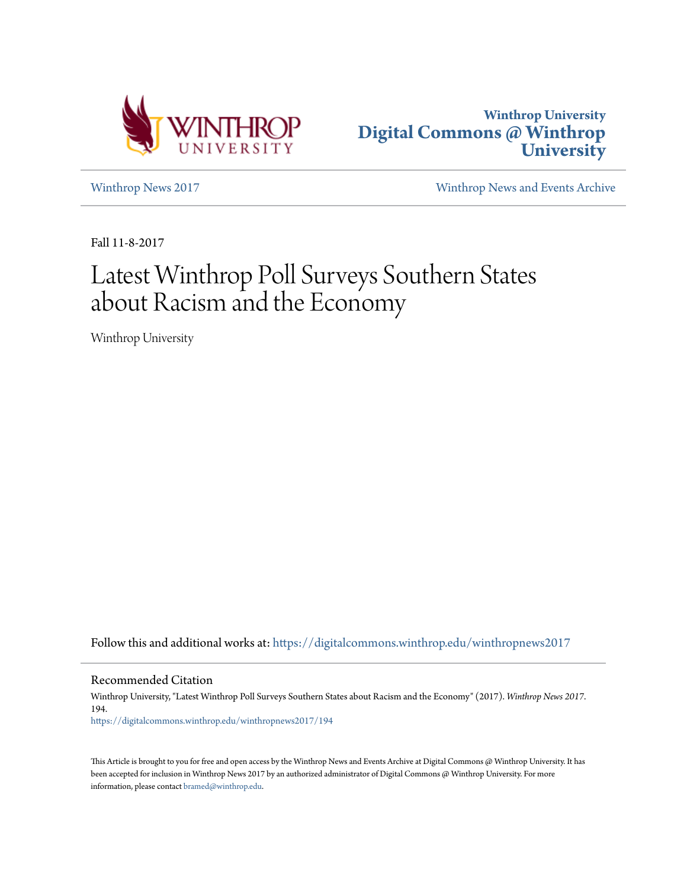



[Winthrop News 2017](https://digitalcommons.winthrop.edu/winthropnews2017?utm_source=digitalcommons.winthrop.edu%2Fwinthropnews2017%2F194&utm_medium=PDF&utm_campaign=PDFCoverPages) [Winthrop News and Events Archive](https://digitalcommons.winthrop.edu/winthropnewsarchives?utm_source=digitalcommons.winthrop.edu%2Fwinthropnews2017%2F194&utm_medium=PDF&utm_campaign=PDFCoverPages)

Fall 11-8-2017

# Latest Winthrop Poll Surveys Southern States about Racism and the Economy

Winthrop University

Follow this and additional works at: [https://digitalcommons.winthrop.edu/winthropnews2017](https://digitalcommons.winthrop.edu/winthropnews2017?utm_source=digitalcommons.winthrop.edu%2Fwinthropnews2017%2F194&utm_medium=PDF&utm_campaign=PDFCoverPages)

Recommended Citation

Winthrop University, "Latest Winthrop Poll Surveys Southern States about Racism and the Economy" (2017). *Winthrop News 2017*. 194. [https://digitalcommons.winthrop.edu/winthropnews2017/194](https://digitalcommons.winthrop.edu/winthropnews2017/194?utm_source=digitalcommons.winthrop.edu%2Fwinthropnews2017%2F194&utm_medium=PDF&utm_campaign=PDFCoverPages)

This Article is brought to you for free and open access by the Winthrop News and Events Archive at Digital Commons @ Winthrop University. It has been accepted for inclusion in Winthrop News 2017 by an authorized administrator of Digital Commons @ Winthrop University. For more information, please contact [bramed@winthrop.edu](mailto:bramed@winthrop.edu).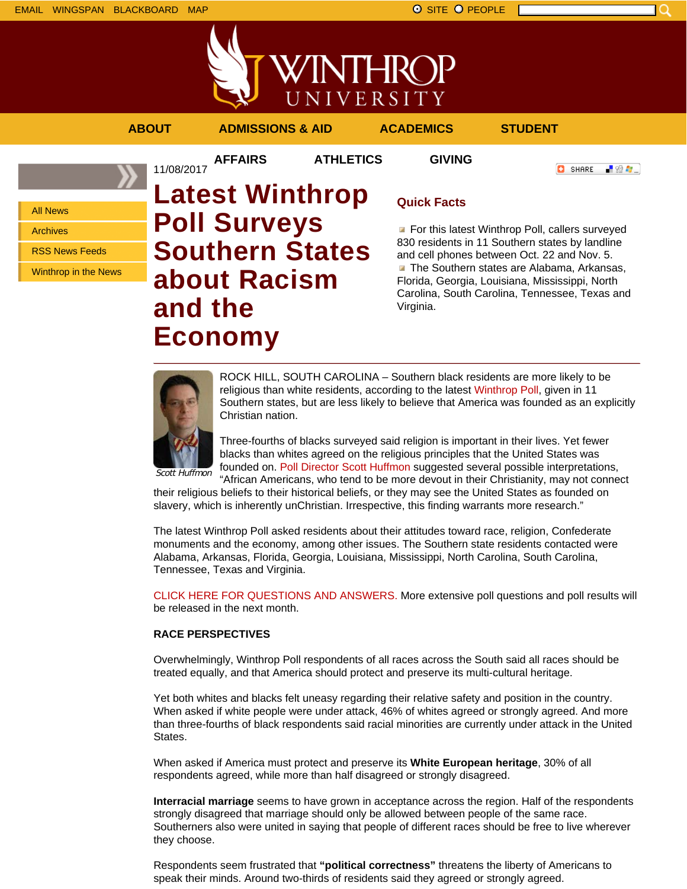

WINTHROP UNIVERSITY

**AFFAIRS ATHLETICS GIVING**

**ABOUT ADMISSIONS & AID ACADEMICS STUDENT**

「验費」 **O** SHARE

All News

Archives

RSS News Feeds

Winthrop in the News

# 11/08/2017 **Latest Winthrop Poll Surveys Southern States about Racism and the Economy**

# **Quick Facts**

**For this latest Winthrop Poll, callers surveyed** 830 residents in 11 Southern states by landline and cell phones between Oct. 22 and Nov. 5. **The Southern states are Alabama, Arkansas,** Florida, Georgia, Louisiana, Mississippi, North Carolina, South Carolina, Tennessee, Texas and Virginia.



ROCK HILL, SOUTH CAROLINA – Southern black residents are more likely to be religious than white residents, according to the latest Winthrop Poll, given in 11 Southern states, but are less likely to believe that America was founded as an explicitly Christian nation.

Three-fourths of blacks surveyed said religion is important in their lives. Yet fewer blacks than whites agreed on the religious principles that the United States was founded on. Poll Director Scott Huffmon suggested several possible interpretations,

"African Americans, who tend to be more devout in their Christianity, may not connect their religious beliefs to their historical beliefs, or they may see the United States as founded on slavery, which is inherently unChristian. Irrespective, this finding warrants more research."

The latest Winthrop Poll asked residents about their attitudes toward race, religion, Confederate monuments and the economy, among other issues. The Southern state residents contacted were Alabama, Arkansas, Florida, Georgia, Louisiana, Mississippi, North Carolina, South Carolina, Tennessee, Texas and Virginia.

CLICK HERE FOR QUESTIONS AND ANSWERS. More extensive poll questions and poll results will be released in the next month.

### **RACE PERSPECTIVES**

Overwhelmingly, Winthrop Poll respondents of all races across the South said all races should be treated equally, and that America should protect and preserve its multi-cultural heritage.

Yet both whites and blacks felt uneasy regarding their relative safety and position in the country. When asked if white people were under attack, 46% of whites agreed or strongly agreed. And more than three-fourths of black respondents said racial minorities are currently under attack in the United States.

When asked if America must protect and preserve its **White European heritage**, 30% of all respondents agreed, while more than half disagreed or strongly disagreed.

**Interracial marriage** seems to have grown in acceptance across the region. Half of the respondents strongly disagreed that marriage should only be allowed between people of the same race. Southerners also were united in saying that people of different races should be free to live wherever they choose.

Respondents seem frustrated that **"political correctness"** threatens the liberty of Americans to speak their minds. Around two-thirds of residents said they agreed or strongly agreed.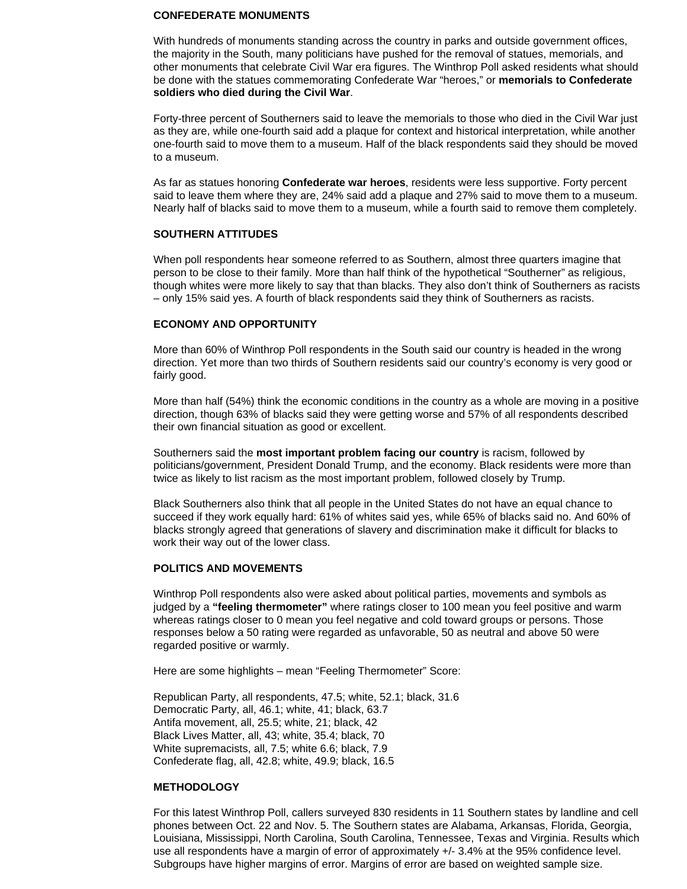#### **CONFEDERATE MONUMENTS**

With hundreds of monuments standing across the country in parks and outside government offices, the majority in the South, many politicians have pushed for the removal of statues, memorials, and other monuments that celebrate Civil War era figures. The Winthrop Poll asked residents what should be done with the statues commemorating Confederate War "heroes," or **memorials to Confederate soldiers who died during the Civil War**.

Forty-three percent of Southerners said to leave the memorials to those who died in the Civil War just as they are, while one-fourth said add a plaque for context and historical interpretation, while another one-fourth said to move them to a museum. Half of the black respondents said they should be moved to a museum.

As far as statues honoring **Confederate war heroes**, residents were less supportive. Forty percent said to leave them where they are, 24% said add a plaque and 27% said to move them to a museum. Nearly half of blacks said to move them to a museum, while a fourth said to remove them completely.

#### **SOUTHERN ATTITUDES**

When poll respondents hear someone referred to as Southern, almost three quarters imagine that person to be close to their family. More than half think of the hypothetical "Southerner" as religious, though whites were more likely to say that than blacks. They also don't think of Southerners as racists – only 15% said yes. A fourth of black respondents said they think of Southerners as racists.

#### **ECONOMY AND OPPORTUNITY**

More than 60% of Winthrop Poll respondents in the South said our country is headed in the wrong direction. Yet more than two thirds of Southern residents said our country's economy is very good or fairly good.

More than half (54%) think the economic conditions in the country as a whole are moving in a positive direction, though 63% of blacks said they were getting worse and 57% of all respondents described their own financial situation as good or excellent.

Southerners said the **most important problem facing our country** is racism, followed by politicians/government, President Donald Trump, and the economy. Black residents were more than twice as likely to list racism as the most important problem, followed closely by Trump.

Black Southerners also think that all people in the United States do not have an equal chance to succeed if they work equally hard: 61% of whites said yes, while 65% of blacks said no. And 60% of blacks strongly agreed that generations of slavery and discrimination make it difficult for blacks to work their way out of the lower class.

#### **POLITICS AND MOVEMENTS**

Winthrop Poll respondents also were asked about political parties, movements and symbols as judged by a **"feeling thermometer"** where ratings closer to 100 mean you feel positive and warm whereas ratings closer to 0 mean you feel negative and cold toward groups or persons. Those responses below a 50 rating were regarded as unfavorable, 50 as neutral and above 50 were regarded positive or warmly.

Here are some highlights – mean "Feeling Thermometer" Score:

Republican Party, all respondents, 47.5; white, 52.1; black, 31.6 Democratic Party, all, 46.1; white, 41; black, 63.7 Antifa movement, all, 25.5; white, 21; black, 42 Black Lives Matter, all, 43; white, 35.4; black, 70 White supremacists, all, 7.5; white 6.6; black, 7.9 Confederate flag, all, 42.8; white, 49.9; black, 16.5

#### **METHODOLOGY**

For this latest Winthrop Poll, callers surveyed 830 residents in 11 Southern states by landline and cell phones between Oct. 22 and Nov. 5. The Southern states are Alabama, Arkansas, Florida, Georgia, Louisiana, Mississippi, North Carolina, South Carolina, Tennessee, Texas and Virginia. Results which use all respondents have a margin of error of approximately +/- 3.4% at the 95% confidence level. Subgroups have higher margins of error. Margins of error are based on weighted sample size.